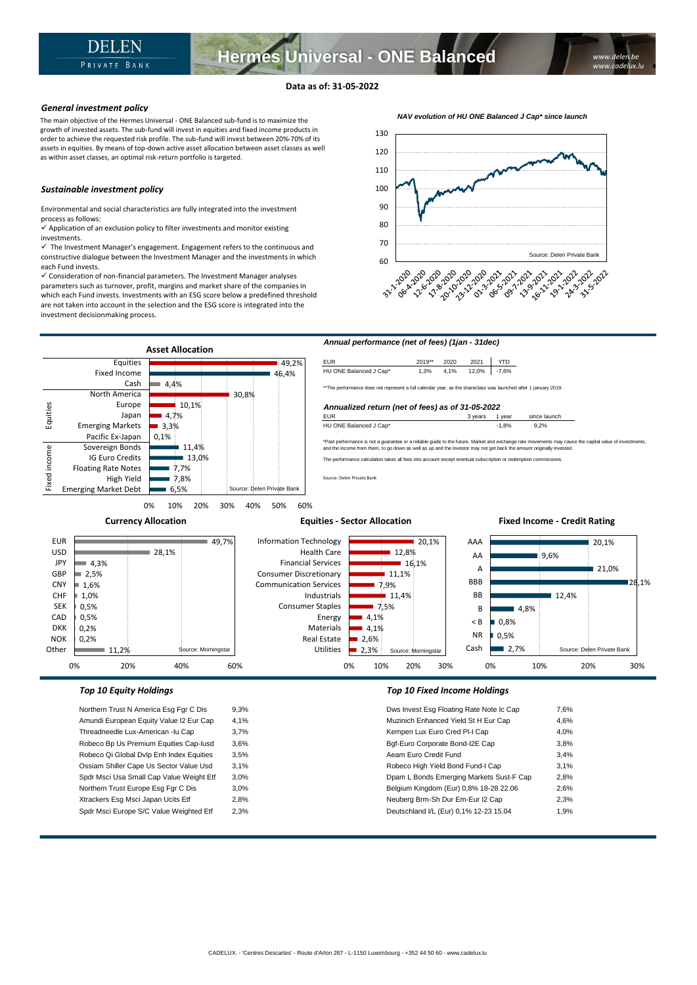**Hermes Universal - ONE Balanced**

# **Data as of: 31-05-2022**

# *General investment policy*

The main objective of the Hermes Universal - ONE Balanced sub-fund is to maximize the growth of invested assets. The sub-fund will invest in equities and fixed income products in order to achieve the requested risk profile. The sub-fund will invest between 20%-70% of its assets in equities. By means of top-down active asset allocation between asset classes as well as within asset classes, an optimal risk-return portfolio is targeted.

# *Sustainable investment policy*

Environmental and social characteristics are fully integrated into the investment process as follows:

 $\checkmark$  Application of an exclusion policy to filter investments and monitor existing investments.

 $\checkmark$  The Investment Manager's engagement. Engagement refers to the continuous and constructive dialogue between the Investment Manager and the investments in which each Fund invests.

✓ Consideration of non-financial parameters. The Investment Manager analyses parameters such as turnover, profit, margins and market share of the companies in which each Fund invests. Investments with an ESG score below a predefined threshold are not taken into account in the selection and the ESG score is integrated into the investment decisionmaking process.





Robeco Bp Us Premium Equities Cap-Iusd 3,6% Robeco Qi Global Dvlp Enh Index Equities 3,5% Ossiam Shiller Cape Us Sector Value Usd 3,1% Spdr Msci Usa Small Cap Value Weight Etf 3,0% Northern Trust Europe Esg Fgr C Dis 3,0% Xtrackers Esg Msci Japan Ucits Etf 2,8% Spdr Msci Europe S/C Value Weighted Etf 2,3%

| Dws Invest Esg Floating Rate Note Ic Cap | 7,6% |
|------------------------------------------|------|
| Muzinich Enhanced Yield St H Eur Cap     | 4.6% |
| Kempen Lux Euro Cred PI-I Cap            | 4,0% |
| Bqf-Euro Corporate Bond-I2E Cap          | 3,8% |
| Aeam Euro Credit Fund                    | 3.4% |
| Robeco High Yield Bond Fund-I Cap        | 3.1% |
| Dpam L Bonds Emerging Markets Sust-F Cap | 2,8% |
| Belgium Kingdom (Eur) 0,8% 18-28 22.06   | 2,6% |
| Neuberg Brm-Sh Dur Em-Eur I2 Cap         | 2,3% |
| Deutschland I/L (Eur) 0,1% 12-23 15.04   | 1,9% |
|                                          |      |